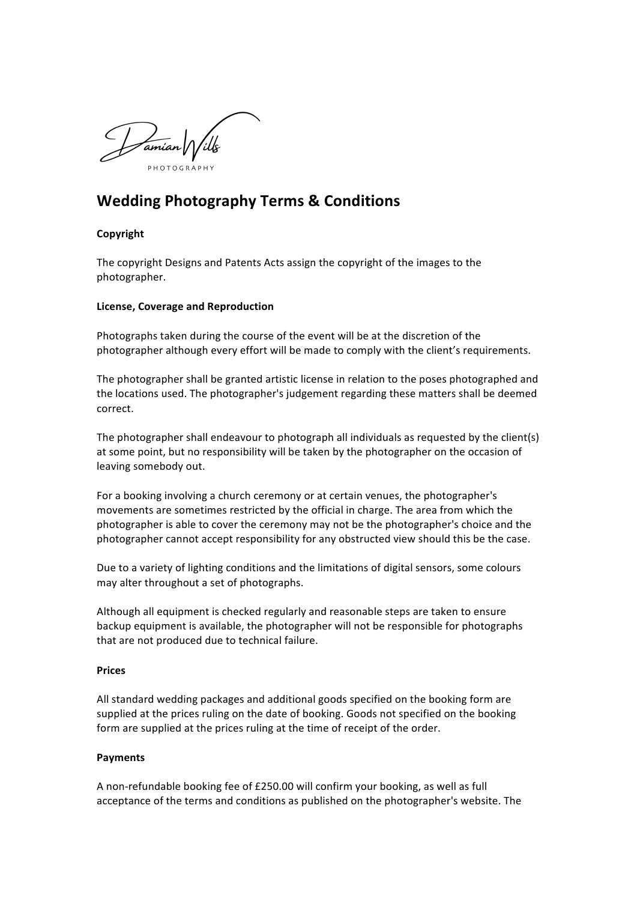

# **Wedding Photography Terms & Conditions**

## **Copyright**

The copyright Designs and Patents Acts assign the copyright of the images to the photographer. 

## **License, Coverage and Reproduction**

Photographs taken during the course of the event will be at the discretion of the photographer although every effort will be made to comply with the client's requirements.

The photographer shall be granted artistic license in relation to the poses photographed and the locations used. The photographer's judgement regarding these matters shall be deemed correct. 

The photographer shall endeavour to photograph all individuals as requested by the client(s) at some point, but no responsibility will be taken by the photographer on the occasion of leaving somebody out.

For a booking involving a church ceremony or at certain venues, the photographer's movements are sometimes restricted by the official in charge. The area from which the photographer is able to cover the ceremony may not be the photographer's choice and the photographer cannot accept responsibility for any obstructed view should this be the case.

Due to a variety of lighting conditions and the limitations of digital sensors, some colours may alter throughout a set of photographs.

Although all equipment is checked regularly and reasonable steps are taken to ensure backup equipment is available, the photographer will not be responsible for photographs that are not produced due to technical failure.

## **Prices**

All standard wedding packages and additional goods specified on the booking form are supplied at the prices ruling on the date of booking. Goods not specified on the booking form are supplied at the prices ruling at the time of receipt of the order.

#### **Payments**

A non-refundable booking fee of £250.00 will confirm your booking, as well as full acceptance of the terms and conditions as published on the photographer's website. The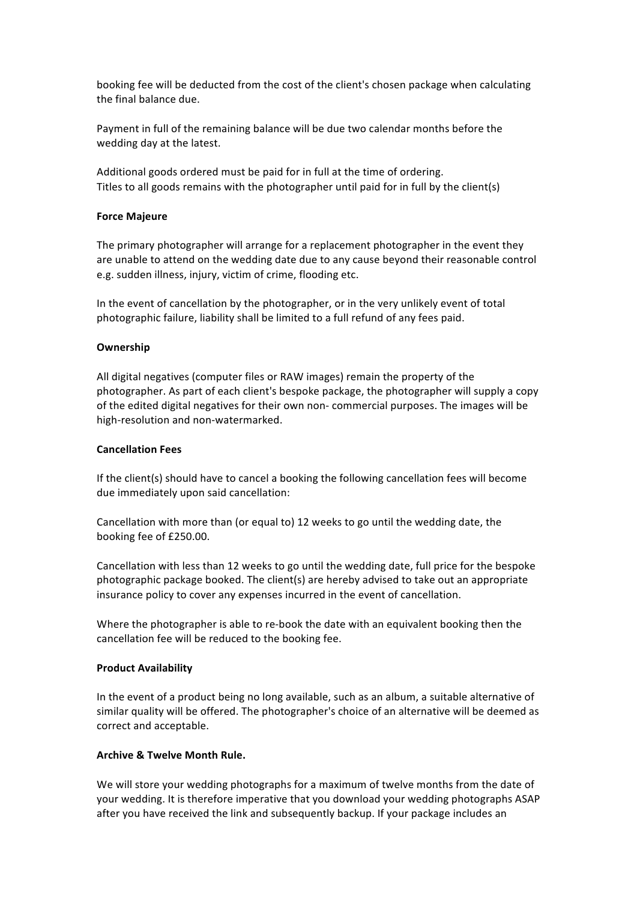booking fee will be deducted from the cost of the client's chosen package when calculating the final balance due.

Payment in full of the remaining balance will be due two calendar months before the wedding day at the latest.

Additional goods ordered must be paid for in full at the time of ordering. Titles to all goods remains with the photographer until paid for in full by the client(s)

#### **Force Maieure**

The primary photographer will arrange for a replacement photographer in the event they are unable to attend on the wedding date due to any cause beyond their reasonable control e.g. sudden illness, injury, victim of crime, flooding etc.

In the event of cancellation by the photographer, or in the very unlikely event of total photographic failure, liability shall be limited to a full refund of any fees paid.

#### **Ownership**

All digital negatives (computer files or RAW images) remain the property of the photographer. As part of each client's bespoke package, the photographer will supply a copy of the edited digital negatives for their own non- commercial purposes. The images will be high-resolution and non-watermarked.

#### **Cancellation Fees**

If the client(s) should have to cancel a booking the following cancellation fees will become due immediately upon said cancellation:

Cancellation with more than (or equal to) 12 weeks to go until the wedding date, the booking fee of £250.00.

Cancellation with less than 12 weeks to go until the wedding date, full price for the bespoke photographic package booked. The client(s) are hereby advised to take out an appropriate insurance policy to cover any expenses incurred in the event of cancellation.

Where the photographer is able to re-book the date with an equivalent booking then the cancellation fee will be reduced to the booking fee.

#### **Product Availability**

In the event of a product being no long available, such as an album, a suitable alternative of similar quality will be offered. The photographer's choice of an alternative will be deemed as correct and acceptable.

#### **Archive & Twelve Month Rule.**

We will store your wedding photographs for a maximum of twelve months from the date of your wedding. It is therefore imperative that you download your wedding photographs ASAP after you have received the link and subsequently backup. If your package includes an